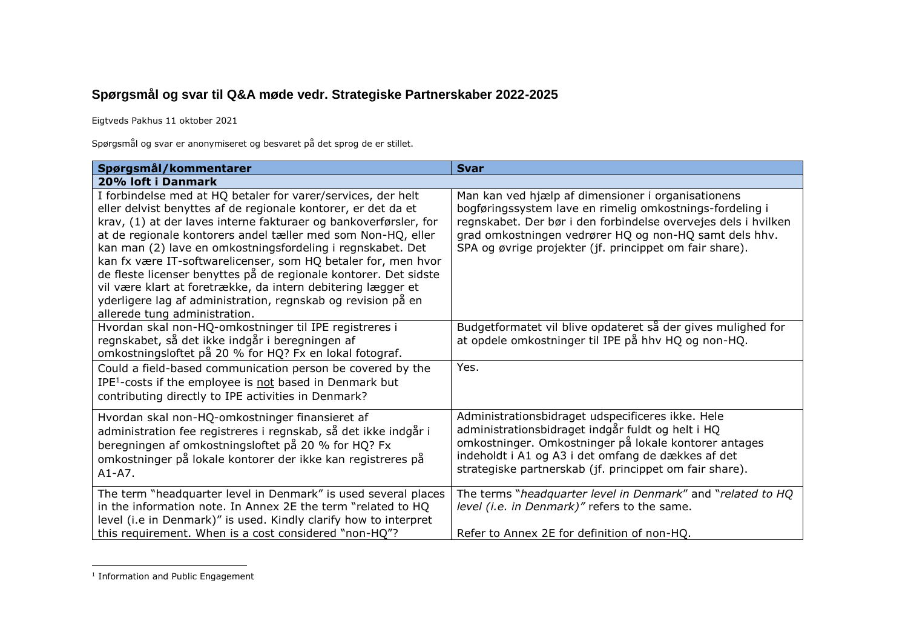## **Spørgsmål og svar til Q&A møde vedr. Strategiske Partnerskaber 2022-2025**

Eigtveds Pakhus 11 oktober 2021

Spørgsmål og svar er anonymiseret og besvaret på det sprog de er stillet.

| Spørgsmål/kommentarer                                                                                                                                                                                                                                                                                                                                                                                                                                                                                                                                                                                                                 | <b>Svar</b>                                                                                                                                                                                                                                                                                           |
|---------------------------------------------------------------------------------------------------------------------------------------------------------------------------------------------------------------------------------------------------------------------------------------------------------------------------------------------------------------------------------------------------------------------------------------------------------------------------------------------------------------------------------------------------------------------------------------------------------------------------------------|-------------------------------------------------------------------------------------------------------------------------------------------------------------------------------------------------------------------------------------------------------------------------------------------------------|
| 20% loft i Danmark                                                                                                                                                                                                                                                                                                                                                                                                                                                                                                                                                                                                                    |                                                                                                                                                                                                                                                                                                       |
| I forbindelse med at HQ betaler for varer/services, der helt<br>eller delvist benyttes af de regionale kontorer, er det da et<br>krav, (1) at der laves interne fakturaer og bankoverførsler, for<br>at de regionale kontorers andel tæller med som Non-HQ, eller<br>kan man (2) lave en omkostningsfordeling i regnskabet. Det<br>kan fx være IT-softwarelicenser, som HQ betaler for, men hvor<br>de fleste licenser benyttes på de regionale kontorer. Det sidste<br>vil være klart at foretrække, da intern debitering lægger et<br>yderligere lag af administration, regnskab og revision på en<br>allerede tung administration. | Man kan ved hjælp af dimensioner i organisationens<br>bogføringssystem lave en rimelig omkostnings-fordeling i<br>regnskabet. Der bør i den forbindelse overvejes dels i hvilken<br>grad omkostningen vedrører HQ og non-HQ samt dels hhv.<br>SPA og øvrige projekter (jf. princippet om fair share). |
| Hvordan skal non-HQ-omkostninger til IPE registreres i<br>regnskabet, så det ikke indgår i beregningen af<br>omkostningsloftet på 20 % for HQ? Fx en lokal fotograf.                                                                                                                                                                                                                                                                                                                                                                                                                                                                  | Budgetformatet vil blive opdateret så der gives mulighed for<br>at opdele omkostninger til IPE på hhv HQ og non-HQ.                                                                                                                                                                                   |
| Could a field-based communication person be covered by the<br>IPE <sup>1</sup> -costs if the employee is not based in Denmark but<br>contributing directly to IPE activities in Denmark?                                                                                                                                                                                                                                                                                                                                                                                                                                              | Yes.                                                                                                                                                                                                                                                                                                  |
| Hvordan skal non-HQ-omkostninger finansieret af<br>administration fee registreres i regnskab, så det ikke indgår i<br>beregningen af omkostningsloftet på 20 % for HQ? Fx<br>omkostninger på lokale kontorer der ikke kan registreres på<br>$A1-A7.$                                                                                                                                                                                                                                                                                                                                                                                  | Administrationsbidraget udspecificeres ikke. Hele<br>administrationsbidraget indgår fuldt og helt i HQ<br>omkostninger. Omkostninger på lokale kontorer antages<br>indeholdt i A1 og A3 i det omfang de dækkes af det<br>strategiske partnerskab (jf. princippet om fair share).                      |
| The term "headquarter level in Denmark" is used several places<br>in the information note. In Annex 2E the term "related to HQ<br>level (i.e in Denmark)" is used. Kindly clarify how to interpret<br>this requirement. When is a cost considered "non-HQ"?                                                                                                                                                                                                                                                                                                                                                                           | The terms "headquarter level in Denmark" and "related to HQ<br>level (i.e. in Denmark)" refers to the same.<br>Refer to Annex 2E for definition of non-HQ.                                                                                                                                            |

**THE TEAM**<br><sup>1</sup> Information and Public Engagement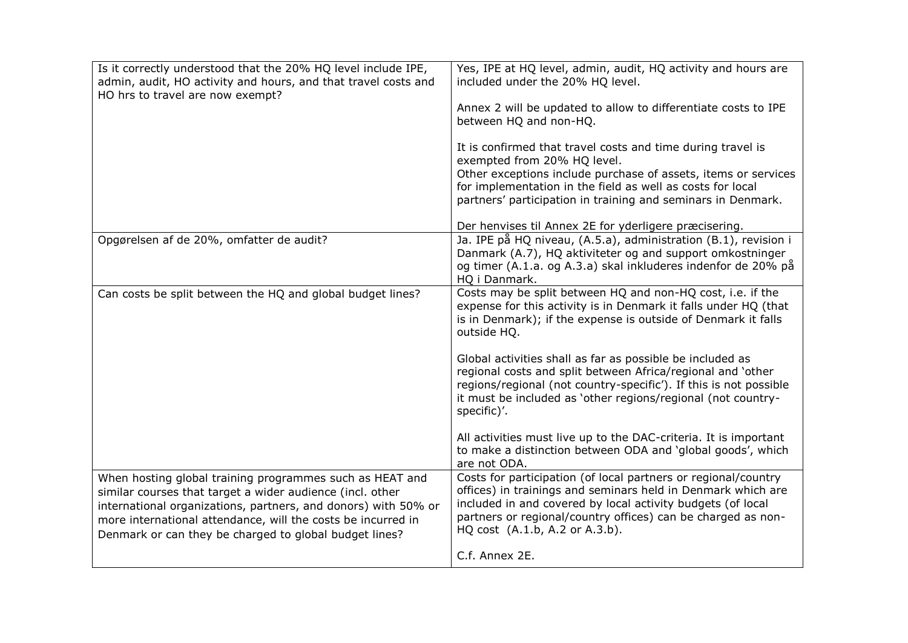| Is it correctly understood that the 20% HQ level include IPE,<br>admin, audit, HO activity and hours, and that travel costs and<br>HO hrs to travel are now exempt?                                                                                                                                               | Yes, IPE at HQ level, admin, audit, HQ activity and hours are<br>included under the 20% HQ level.<br>Annex 2 will be updated to allow to differentiate costs to IPE<br>between HQ and non-HQ.<br>It is confirmed that travel costs and time during travel is<br>exempted from 20% HQ level.<br>Other exceptions include purchase of assets, items or services<br>for implementation in the field as well as costs for local<br>partners' participation in training and seminars in Denmark. |
|-------------------------------------------------------------------------------------------------------------------------------------------------------------------------------------------------------------------------------------------------------------------------------------------------------------------|---------------------------------------------------------------------------------------------------------------------------------------------------------------------------------------------------------------------------------------------------------------------------------------------------------------------------------------------------------------------------------------------------------------------------------------------------------------------------------------------|
| Opgørelsen af de 20%, omfatter de audit?                                                                                                                                                                                                                                                                          | Der henvises til Annex 2E for yderligere præcisering.<br>Ja. IPE på HQ niveau, (A.5.a), administration (B.1), revision i                                                                                                                                                                                                                                                                                                                                                                    |
|                                                                                                                                                                                                                                                                                                                   | Danmark (A.7), HQ aktiviteter og and support omkostninger<br>og timer (A.1.a. og A.3.a) skal inkluderes indenfor de 20% på<br>HQ i Danmark.                                                                                                                                                                                                                                                                                                                                                 |
| Can costs be split between the HQ and global budget lines?                                                                                                                                                                                                                                                        | Costs may be split between HQ and non-HQ cost, i.e. if the<br>expense for this activity is in Denmark it falls under HQ (that<br>is in Denmark); if the expense is outside of Denmark it falls<br>outside HQ.                                                                                                                                                                                                                                                                               |
|                                                                                                                                                                                                                                                                                                                   | Global activities shall as far as possible be included as<br>regional costs and split between Africa/regional and 'other<br>regions/regional (not country-specific'). If this is not possible<br>it must be included as 'other regions/regional (not country-<br>specific)'.                                                                                                                                                                                                                |
|                                                                                                                                                                                                                                                                                                                   | All activities must live up to the DAC-criteria. It is important<br>to make a distinction between ODA and 'global goods', which<br>are not ODA.                                                                                                                                                                                                                                                                                                                                             |
| When hosting global training programmes such as HEAT and<br>similar courses that target a wider audience (incl. other<br>international organizations, partners, and donors) with 50% or<br>more international attendance, will the costs be incurred in<br>Denmark or can they be charged to global budget lines? | Costs for participation (of local partners or regional/country<br>offices) in trainings and seminars held in Denmark which are<br>included in and covered by local activity budgets (of local<br>partners or regional/country offices) can be charged as non-<br>HQ cost (A.1.b, A.2 or A.3.b).                                                                                                                                                                                             |
|                                                                                                                                                                                                                                                                                                                   | C.f. Annex 2E.                                                                                                                                                                                                                                                                                                                                                                                                                                                                              |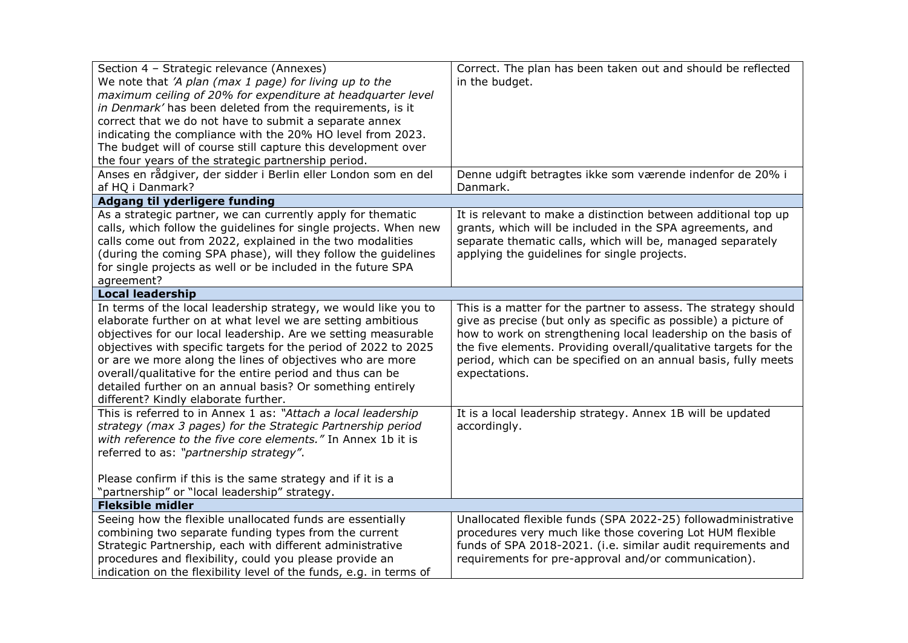| Section 4 - Strategic relevance (Annexes)<br>We note that 'A plan (max 1 page) for living up to the<br>maximum ceiling of 20% for expenditure at headquarter level<br>in Denmark' has been deleted from the requirements, is it<br>correct that we do not have to submit a separate annex<br>indicating the compliance with the 20% HO level from 2023.<br>The budget will of course still capture this development over                                                                            | Correct. The plan has been taken out and should be reflected<br>in the budget.                                                                                                                                                                                                                                                                             |
|-----------------------------------------------------------------------------------------------------------------------------------------------------------------------------------------------------------------------------------------------------------------------------------------------------------------------------------------------------------------------------------------------------------------------------------------------------------------------------------------------------|------------------------------------------------------------------------------------------------------------------------------------------------------------------------------------------------------------------------------------------------------------------------------------------------------------------------------------------------------------|
| the four years of the strategic partnership period.<br>Anses en rådgiver, der sidder i Berlin eller London som en del                                                                                                                                                                                                                                                                                                                                                                               | Denne udgift betragtes ikke som værende indenfor de 20% i                                                                                                                                                                                                                                                                                                  |
| af HQ i Danmark?                                                                                                                                                                                                                                                                                                                                                                                                                                                                                    | Danmark.                                                                                                                                                                                                                                                                                                                                                   |
| Adgang til yderligere funding                                                                                                                                                                                                                                                                                                                                                                                                                                                                       |                                                                                                                                                                                                                                                                                                                                                            |
| As a strategic partner, we can currently apply for thematic<br>calls, which follow the guidelines for single projects. When new<br>calls come out from 2022, explained in the two modalities<br>(during the coming SPA phase), will they follow the guidelines<br>for single projects as well or be included in the future SPA<br>agreement?                                                                                                                                                        | It is relevant to make a distinction between additional top up<br>grants, which will be included in the SPA agreements, and<br>separate thematic calls, which will be, managed separately<br>applying the guidelines for single projects.                                                                                                                  |
| <b>Local leadership</b>                                                                                                                                                                                                                                                                                                                                                                                                                                                                             |                                                                                                                                                                                                                                                                                                                                                            |
| In terms of the local leadership strategy, we would like you to<br>elaborate further on at what level we are setting ambitious<br>objectives for our local leadership. Are we setting measurable<br>objectives with specific targets for the period of 2022 to 2025<br>or are we more along the lines of objectives who are more<br>overall/qualitative for the entire period and thus can be<br>detailed further on an annual basis? Or something entirely<br>different? Kindly elaborate further. | This is a matter for the partner to assess. The strategy should<br>give as precise (but only as specific as possible) a picture of<br>how to work on strengthening local leadership on the basis of<br>the five elements. Providing overall/qualitative targets for the<br>period, which can be specified on an annual basis, fully meets<br>expectations. |
| This is referred to in Annex 1 as: "Attach a local leadership<br>strategy (max 3 pages) for the Strategic Partnership period<br>with reference to the five core elements." In Annex 1b it is<br>referred to as: "partnership strategy".<br>Please confirm if this is the same strategy and if it is a<br>"partnership" or "local leadership" strategy.                                                                                                                                              | It is a local leadership strategy. Annex 1B will be updated<br>accordingly.                                                                                                                                                                                                                                                                                |
| <b>Fleksible midler</b>                                                                                                                                                                                                                                                                                                                                                                                                                                                                             |                                                                                                                                                                                                                                                                                                                                                            |
| Seeing how the flexible unallocated funds are essentially<br>combining two separate funding types from the current<br>Strategic Partnership, each with different administrative<br>procedures and flexibility, could you please provide an<br>indication on the flexibility level of the funds, e.g. in terms of                                                                                                                                                                                    | Unallocated flexible funds (SPA 2022-25) followadministrative<br>procedures very much like those covering Lot HUM flexible<br>funds of SPA 2018-2021. (i.e. similar audit requirements and<br>requirements for pre-approval and/or communication).                                                                                                         |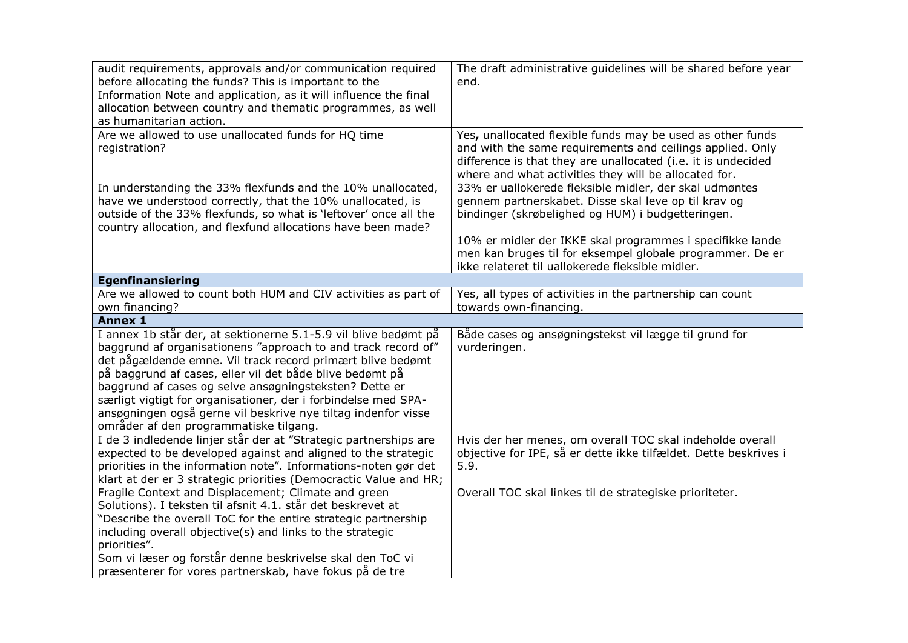| audit requirements, approvals and/or communication required<br>before allocating the funds? This is important to the<br>Information Note and application, as it will influence the final<br>allocation between country and thematic programmes, as well<br>as humanitarian action.                                                                                                                                                                                                                | The draft administrative guidelines will be shared before year<br>end.                                                                                                                                                                                                                                                                            |
|---------------------------------------------------------------------------------------------------------------------------------------------------------------------------------------------------------------------------------------------------------------------------------------------------------------------------------------------------------------------------------------------------------------------------------------------------------------------------------------------------|---------------------------------------------------------------------------------------------------------------------------------------------------------------------------------------------------------------------------------------------------------------------------------------------------------------------------------------------------|
| Are we allowed to use unallocated funds for HQ time<br>registration?                                                                                                                                                                                                                                                                                                                                                                                                                              | Yes, unallocated flexible funds may be used as other funds<br>and with the same requirements and ceilings applied. Only<br>difference is that they are unallocated (i.e. it is undecided<br>where and what activities they will be allocated for.                                                                                                 |
| In understanding the 33% flexfunds and the 10% unallocated,<br>have we understood correctly, that the 10% unallocated, is<br>outside of the 33% flexfunds, so what is 'leftover' once all the<br>country allocation, and flexfund allocations have been made?                                                                                                                                                                                                                                     | 33% er uallokerede fleksible midler, der skal udmøntes<br>gennem partnerskabet. Disse skal leve op til krav og<br>bindinger (skrøbelighed og HUM) i budgetteringen.<br>10% er midler der IKKE skal programmes i specifikke lande<br>men kan bruges til for eksempel globale programmer. De er<br>ikke relateret til uallokerede fleksible midler. |
| <b>Egenfinansiering</b>                                                                                                                                                                                                                                                                                                                                                                                                                                                                           |                                                                                                                                                                                                                                                                                                                                                   |
| Are we allowed to count both HUM and CIV activities as part of<br>own financing?                                                                                                                                                                                                                                                                                                                                                                                                                  | Yes, all types of activities in the partnership can count<br>towards own-financing.                                                                                                                                                                                                                                                               |
| <b>Annex 1</b>                                                                                                                                                                                                                                                                                                                                                                                                                                                                                    |                                                                                                                                                                                                                                                                                                                                                   |
| I annex 1b står der, at sektionerne 5.1-5.9 vil blive bedømt på<br>baggrund af organisationens "approach to and track record of"<br>det pågældende emne. Vil track record primært blive bedømt<br>på baggrund af cases, eller vil det både blive bedømt på<br>baggrund af cases og selve ansøgningsteksten? Dette er<br>særligt vigtigt for organisationer, der i forbindelse med SPA-<br>ansøgningen også gerne vil beskrive nye tiltag indenfor visse<br>områder af den programmatiske tilgang. | Både cases og ansøgningstekst vil lægge til grund for<br>vurderingen.                                                                                                                                                                                                                                                                             |
| I de 3 indledende linjer står der at "Strategic partnerships are<br>expected to be developed against and aligned to the strategic<br>priorities in the information note". Informations-noten gør det<br>klart at der er 3 strategic priorities (Democractic Value and HR;                                                                                                                                                                                                                         | Hvis der her menes, om overall TOC skal indeholde overall<br>objective for IPE, så er dette ikke tilfældet. Dette beskrives i<br>5.9.                                                                                                                                                                                                             |
| Fragile Context and Displacement; Climate and green<br>Solutions). I teksten til afsnit 4.1. står det beskrevet at<br>"Describe the overall ToC for the entire strategic partnership<br>including overall objective(s) and links to the strategic<br>priorities".<br>Som vi læser og forstår denne beskrivelse skal den ToC vi<br>præsenterer for vores partnerskab, have fokus på de tre                                                                                                         | Overall TOC skal linkes til de strategiske prioriteter.                                                                                                                                                                                                                                                                                           |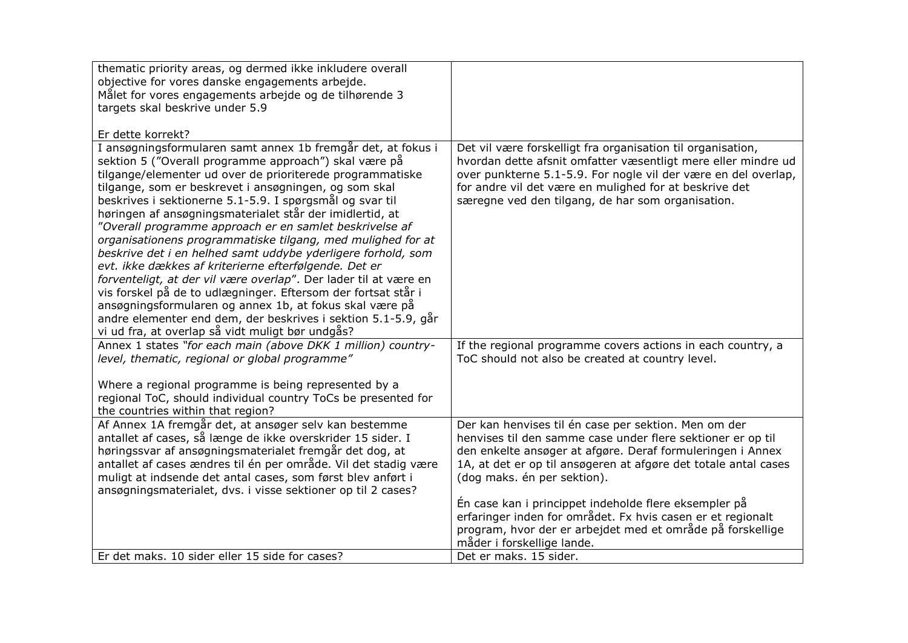| thematic priority areas, og dermed ikke inkludere overall<br>objective for vores danske engagements arbejde.                                                                                                                                                                                                                                                                                                                                                                                                                                                                                                                                                                                                                                                                                                                                                                                                                                |                                                                                                                                                                                                                                                                                                                                                                                                             |
|---------------------------------------------------------------------------------------------------------------------------------------------------------------------------------------------------------------------------------------------------------------------------------------------------------------------------------------------------------------------------------------------------------------------------------------------------------------------------------------------------------------------------------------------------------------------------------------------------------------------------------------------------------------------------------------------------------------------------------------------------------------------------------------------------------------------------------------------------------------------------------------------------------------------------------------------|-------------------------------------------------------------------------------------------------------------------------------------------------------------------------------------------------------------------------------------------------------------------------------------------------------------------------------------------------------------------------------------------------------------|
| Målet for vores engagements arbejde og de tilhørende 3                                                                                                                                                                                                                                                                                                                                                                                                                                                                                                                                                                                                                                                                                                                                                                                                                                                                                      |                                                                                                                                                                                                                                                                                                                                                                                                             |
| targets skal beskrive under 5.9                                                                                                                                                                                                                                                                                                                                                                                                                                                                                                                                                                                                                                                                                                                                                                                                                                                                                                             |                                                                                                                                                                                                                                                                                                                                                                                                             |
| Er dette korrekt?                                                                                                                                                                                                                                                                                                                                                                                                                                                                                                                                                                                                                                                                                                                                                                                                                                                                                                                           |                                                                                                                                                                                                                                                                                                                                                                                                             |
| I ansøgningsformularen samt annex 1b fremgår det, at fokus i<br>sektion 5 ("Overall programme approach") skal være på<br>tilgange/elementer ud over de prioriterede programmatiske<br>tilgange, som er beskrevet i ansøgningen, og som skal<br>beskrives i sektionerne 5.1-5.9. I spørgsmål og svar til<br>høringen af ansøgningsmaterialet står der imidlertid, at<br>"Overall programme approach er en samlet beskrivelse af<br>organisationens programmatiske tilgang, med mulighed for at<br>beskrive det i en helhed samt uddybe yderligere forhold, som<br>evt. ikke dækkes af kriterierne efterfølgende. Det er<br>forventeligt, at der vil være overlap". Der lader til at være en<br>vis forskel på de to udlægninger. Eftersom der fortsat står i<br>ansøgningsformularen og annex 1b, at fokus skal være på<br>andre elementer end dem, der beskrives i sektion 5.1-5.9, går<br>vi ud fra, at overlap så vidt muligt bør undgås? | Det vil være forskelligt fra organisation til organisation,<br>hvordan dette afsnit omfatter væsentligt mere eller mindre ud<br>over punkterne 5.1-5.9. For nogle vil der være en del overlap,<br>for andre vil det være en mulighed for at beskrive det<br>særegne ved den tilgang, de har som organisation.                                                                                               |
| Annex 1 states "for each main (above DKK 1 million) country-<br>level, thematic, regional or global programme"                                                                                                                                                                                                                                                                                                                                                                                                                                                                                                                                                                                                                                                                                                                                                                                                                              | If the regional programme covers actions in each country, a<br>ToC should not also be created at country level.                                                                                                                                                                                                                                                                                             |
| Where a regional programme is being represented by a<br>regional ToC, should individual country ToCs be presented for<br>the countries within that region?                                                                                                                                                                                                                                                                                                                                                                                                                                                                                                                                                                                                                                                                                                                                                                                  |                                                                                                                                                                                                                                                                                                                                                                                                             |
| Af Annex 1A fremgår det, at ansøger selv kan bestemme<br>antallet af cases, så længe de ikke overskrider 15 sider. I<br>høringssvar af ansøgningsmaterialet fremgår det dog, at<br>antallet af cases ændres til én per område. Vil det stadig være<br>muligt at indsende det antal cases, som først blev anført i<br>ansøgningsmaterialet, dvs. i visse sektioner op til 2 cases?                                                                                                                                                                                                                                                                                                                                                                                                                                                                                                                                                           | Der kan henvises til én case per sektion. Men om der<br>henvises til den samme case under flere sektioner er op til<br>den enkelte ansøger at afgøre. Deraf formuleringen i Annex<br>1A, at det er op til ansøgeren at afgøre det totale antal cases<br>(dog maks. én per sektion).<br>En case kan i princippet indeholde flere eksempler på<br>erfaringer inden for området. Fx hvis casen er et regionalt |
|                                                                                                                                                                                                                                                                                                                                                                                                                                                                                                                                                                                                                                                                                                                                                                                                                                                                                                                                             | program, hvor der er arbejdet med et område på forskellige<br>måder i forskellige lande.                                                                                                                                                                                                                                                                                                                    |
| Er det maks. 10 sider eller 15 side for cases?                                                                                                                                                                                                                                                                                                                                                                                                                                                                                                                                                                                                                                                                                                                                                                                                                                                                                              | Det er maks. 15 sider.                                                                                                                                                                                                                                                                                                                                                                                      |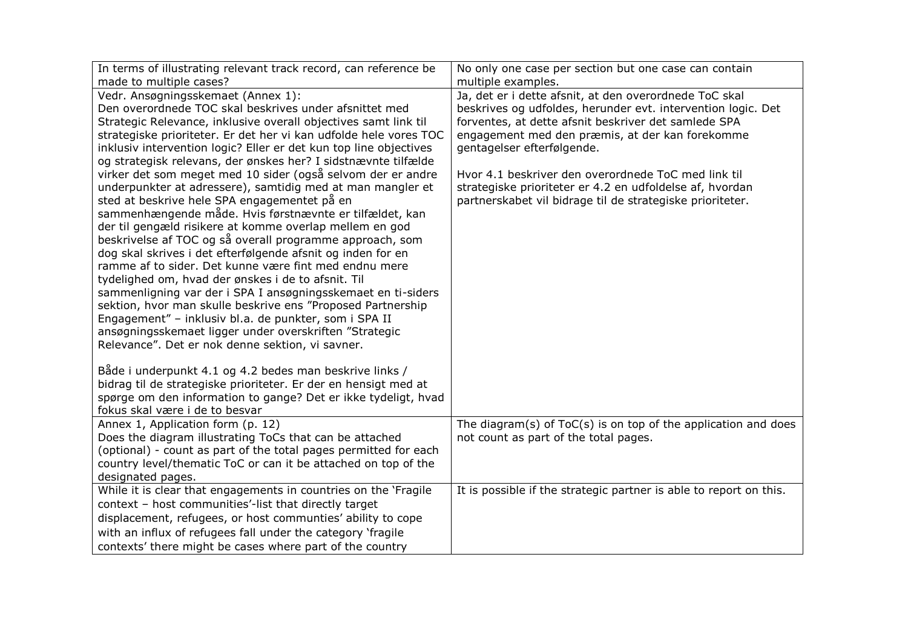| In terms of illustrating relevant track record, can reference be  | No only one case per section but one case can contain              |
|-------------------------------------------------------------------|--------------------------------------------------------------------|
| made to multiple cases?                                           | multiple examples.                                                 |
| Vedr. Ansøgningsskemaet (Annex 1):                                | Ja, det er i dette afsnit, at den overordnede ToC skal             |
| Den overordnede TOC skal beskrives under afsnittet med            | beskrives og udfoldes, herunder evt. intervention logic. Det       |
| Strategic Relevance, inklusive overall objectives samt link til   | forventes, at dette afsnit beskriver det samlede SPA               |
| strategiske prioriteter. Er det her vi kan udfolde hele vores TOC | engagement med den præmis, at der kan forekomme                    |
| inklusiv intervention logic? Eller er det kun top line objectives | gentagelser efterfølgende.                                         |
| og strategisk relevans, der ønskes her? I sidstnævnte tilfælde    |                                                                    |
| virker det som meget med 10 sider (også selvom der er andre       | Hvor 4.1 beskriver den overordnede ToC med link til                |
| underpunkter at adressere), samtidig med at man mangler et        | strategiske prioriteter er 4.2 en udfoldelse af, hvordan           |
| sted at beskrive hele SPA engagementet på en                      | partnerskabet vil bidrage til de strategiske prioriteter.          |
| sammenhængende måde. Hvis førstnævnte er tilfældet, kan           |                                                                    |
| der til gengæld risikere at komme overlap mellem en god           |                                                                    |
| beskrivelse af TOC og så overall programme approach, som          |                                                                    |
| dog skal skrives i det efterfølgende afsnit og inden for en       |                                                                    |
| ramme af to sider. Det kunne være fint med endnu mere             |                                                                    |
| tydelighed om, hvad der ønskes i de to afsnit. Til                |                                                                    |
| sammenligning var der i SPA I ansøgningsskemaet en ti-siders      |                                                                    |
| sektion, hvor man skulle beskrive ens "Proposed Partnership       |                                                                    |
| Engagement" - inklusiv bl.a. de punkter, som i SPA II             |                                                                    |
| ansøgningsskemaet ligger under overskriften "Strategic            |                                                                    |
| Relevance". Det er nok denne sektion, vi savner.                  |                                                                    |
|                                                                   |                                                                    |
| Både i underpunkt 4.1 og 4.2 bedes man beskrive links /           |                                                                    |
| bidrag til de strategiske prioriteter. Er der en hensigt med at   |                                                                    |
| spørge om den information to gange? Det er ikke tydeligt, hvad    |                                                                    |
| fokus skal være i de to besvar                                    |                                                                    |
| Annex 1, Application form (p. 12)                                 | The diagram(s) of $ToC(s)$ is on top of the application and does   |
| Does the diagram illustrating ToCs that can be attached           | not count as part of the total pages.                              |
| (optional) - count as part of the total pages permitted for each  |                                                                    |
| country level/thematic ToC or can it be attached on top of the    |                                                                    |
| designated pages.                                                 |                                                                    |
| While it is clear that engagements in countries on the 'Fragile'  | It is possible if the strategic partner is able to report on this. |
| context - host communities'-list that directly target             |                                                                    |
| displacement, refugees, or host communties' ability to cope       |                                                                    |
| with an influx of refugees fall under the category 'fragile       |                                                                    |
| contexts' there might be cases where part of the country          |                                                                    |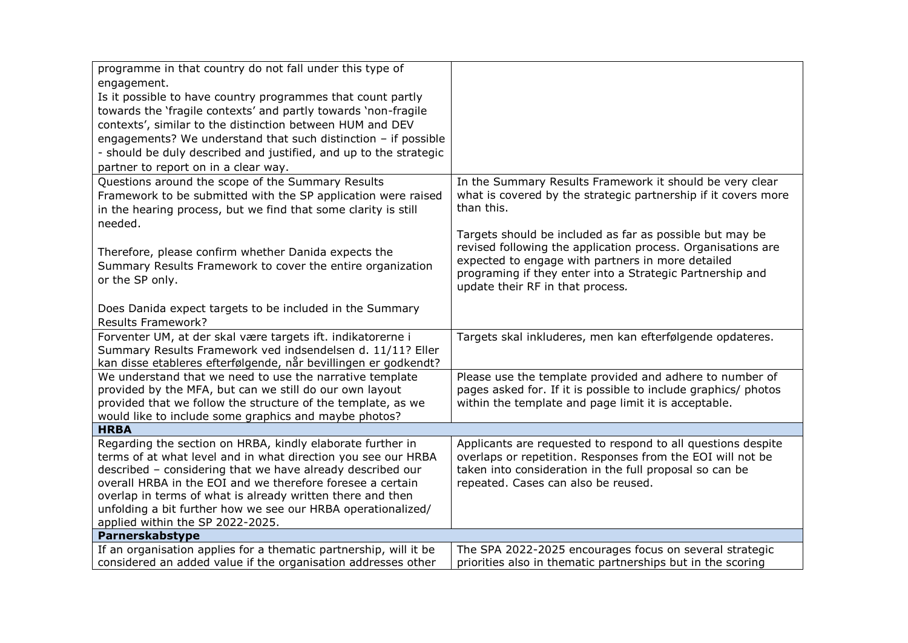| programme in that country do not fall under this type of          |                                                                                               |
|-------------------------------------------------------------------|-----------------------------------------------------------------------------------------------|
| engagement.                                                       |                                                                                               |
| Is it possible to have country programmes that count partly       |                                                                                               |
| towards the 'fragile contexts' and partly towards 'non-fragile    |                                                                                               |
| contexts', similar to the distinction between HUM and DEV         |                                                                                               |
| engagements? We understand that such distinction $-$ if possible  |                                                                                               |
| - should be duly described and justified, and up to the strategic |                                                                                               |
| partner to report on in a clear way.                              |                                                                                               |
| Questions around the scope of the Summary Results                 | In the Summary Results Framework it should be very clear                                      |
| Framework to be submitted with the SP application were raised     | what is covered by the strategic partnership if it covers more                                |
| in the hearing process, but we find that some clarity is still    | than this.                                                                                    |
| needed.                                                           |                                                                                               |
|                                                                   | Targets should be included as far as possible but may be                                      |
| Therefore, please confirm whether Danida expects the              | revised following the application process. Organisations are                                  |
| Summary Results Framework to cover the entire organization        | expected to engage with partners in more detailed                                             |
| or the SP only.                                                   | programing if they enter into a Strategic Partnership and<br>update their RF in that process. |
|                                                                   |                                                                                               |
| Does Danida expect targets to be included in the Summary          |                                                                                               |
| <b>Results Framework?</b>                                         |                                                                                               |
| Forventer UM, at der skal være targets ift. indikatorerne i       | Targets skal inkluderes, men kan efterfølgende opdateres.                                     |
| Summary Results Framework ved indsendelsen d. 11/11? Eller        |                                                                                               |
| kan disse etableres efterfølgende, når bevillingen er godkendt?   |                                                                                               |
| We understand that we need to use the narrative template          | Please use the template provided and adhere to number of                                      |
| provided by the MFA, but can we still do our own layout           | pages asked for. If it is possible to include graphics/ photos                                |
| provided that we follow the structure of the template, as we      | within the template and page limit it is acceptable.                                          |
| would like to include some graphics and maybe photos?             |                                                                                               |
| <b>HRBA</b>                                                       |                                                                                               |
| Regarding the section on HRBA, kindly elaborate further in        | Applicants are requested to respond to all questions despite                                  |
| terms of at what level and in what direction you see our HRBA     | overlaps or repetition. Responses from the EOI will not be                                    |
| described - considering that we have already described our        | taken into consideration in the full proposal so can be                                       |
| overall HRBA in the EOI and we therefore foresee a certain        | repeated. Cases can also be reused.                                                           |
| overlap in terms of what is already written there and then        |                                                                                               |
| unfolding a bit further how we see our HRBA operationalized/      |                                                                                               |
| applied within the SP 2022-2025.                                  |                                                                                               |
| Parnerskabstype                                                   |                                                                                               |
| If an organisation applies for a thematic partnership, will it be | The SPA 2022-2025 encourages focus on several strategic                                       |
| considered an added value if the organisation addresses other     | priorities also in thematic partnerships but in the scoring                                   |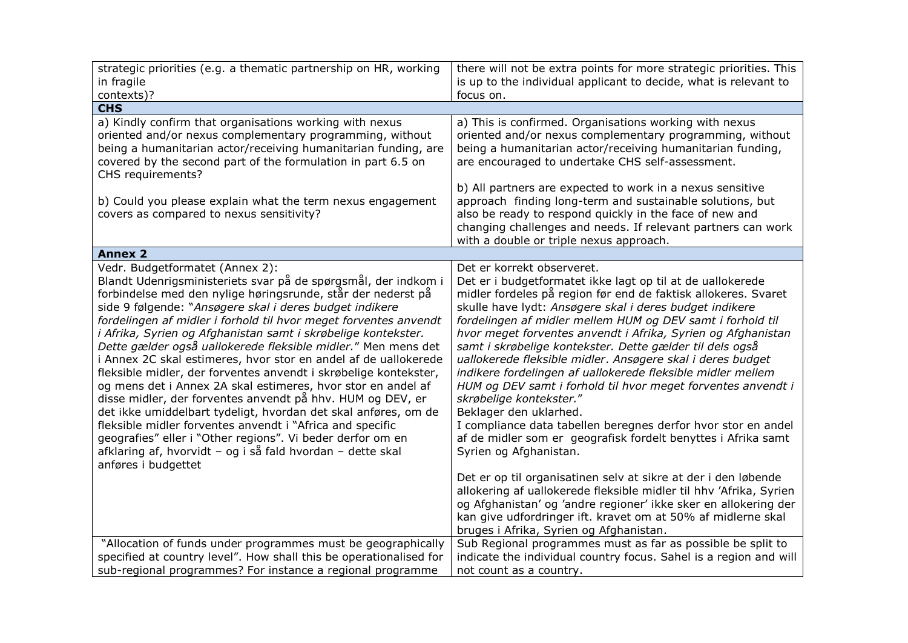| strategic priorities (e.g. a thematic partnership on HR, working<br>in fragile<br>contexts)?                                                                                                                                                                                                                                                                                                                                                                                                                                                                                                                                                                                                                                                                                                                                                                                                                                                                                              | there will not be extra points for more strategic priorities. This<br>is up to the individual applicant to decide, what is relevant to<br>focus on.                                                                                                                                                                                                                                                                                                                                                                                                                                                                                                                                                                                                                                                                           |
|-------------------------------------------------------------------------------------------------------------------------------------------------------------------------------------------------------------------------------------------------------------------------------------------------------------------------------------------------------------------------------------------------------------------------------------------------------------------------------------------------------------------------------------------------------------------------------------------------------------------------------------------------------------------------------------------------------------------------------------------------------------------------------------------------------------------------------------------------------------------------------------------------------------------------------------------------------------------------------------------|-------------------------------------------------------------------------------------------------------------------------------------------------------------------------------------------------------------------------------------------------------------------------------------------------------------------------------------------------------------------------------------------------------------------------------------------------------------------------------------------------------------------------------------------------------------------------------------------------------------------------------------------------------------------------------------------------------------------------------------------------------------------------------------------------------------------------------|
| <b>CHS</b>                                                                                                                                                                                                                                                                                                                                                                                                                                                                                                                                                                                                                                                                                                                                                                                                                                                                                                                                                                                |                                                                                                                                                                                                                                                                                                                                                                                                                                                                                                                                                                                                                                                                                                                                                                                                                               |
| a) Kindly confirm that organisations working with nexus<br>oriented and/or nexus complementary programming, without<br>being a humanitarian actor/receiving humanitarian funding, are<br>covered by the second part of the formulation in part 6.5 on<br>CHS requirements?<br>b) Could you please explain what the term nexus engagement<br>covers as compared to nexus sensitivity?                                                                                                                                                                                                                                                                                                                                                                                                                                                                                                                                                                                                      | a) This is confirmed. Organisations working with nexus<br>oriented and/or nexus complementary programming, without<br>being a humanitarian actor/receiving humanitarian funding,<br>are encouraged to undertake CHS self-assessment.<br>b) All partners are expected to work in a nexus sensitive<br>approach finding long-term and sustainable solutions, but<br>also be ready to respond quickly in the face of new and                                                                                                                                                                                                                                                                                                                                                                                                     |
|                                                                                                                                                                                                                                                                                                                                                                                                                                                                                                                                                                                                                                                                                                                                                                                                                                                                                                                                                                                           | changing challenges and needs. If relevant partners can work<br>with a double or triple nexus approach.                                                                                                                                                                                                                                                                                                                                                                                                                                                                                                                                                                                                                                                                                                                       |
| <b>Annex 2</b>                                                                                                                                                                                                                                                                                                                                                                                                                                                                                                                                                                                                                                                                                                                                                                                                                                                                                                                                                                            |                                                                                                                                                                                                                                                                                                                                                                                                                                                                                                                                                                                                                                                                                                                                                                                                                               |
| Vedr. Budgetformatet (Annex 2):<br>Blandt Udenrigsministeriets svar på de spørgsmål, der indkom i<br>forbindelse med den nylige høringsrunde, står der nederst på<br>side 9 følgende: "Ansøgere skal i deres budget indikere<br>fordelingen af midler i forhold til hvor meget forventes anvendt<br>i Afrika, Syrien og Afghanistan samt i skrøbelige kontekster.<br>Dette gælder også uallokerede fleksible midler." Men mens det<br>i Annex 2C skal estimeres, hvor stor en andel af de uallokerede<br>fleksible midler, der forventes anvendt i skrøbelige kontekster,<br>og mens det i Annex 2A skal estimeres, hvor stor en andel af<br>disse midler, der forventes anvendt på hhv. HUM og DEV, er<br>det ikke umiddelbart tydeligt, hvordan det skal anføres, om de<br>fleksible midler forventes anvendt i "Africa and specific<br>geografies" eller i "Other regions". Vi beder derfor om en<br>afklaring af, hvorvidt - og i så fald hvordan - dette skal<br>anføres i budgettet | Det er korrekt observeret.<br>Det er i budgetformatet ikke lagt op til at de uallokerede<br>midler fordeles på region før end de faktisk allokeres. Svaret<br>skulle have lydt: Ansøgere skal i deres budget indikere<br>fordelingen af midler mellem HUM og DEV samt i forhold til<br>hvor meget forventes anvendt i Afrika, Syrien og Afghanistan<br>samt i skrøbelige kontekster. Dette gælder til dels også<br>uallokerede fleksible midler. Ansøgere skal i deres budget<br>indikere fordelingen af uallokerede fleksible midler mellem<br>HUM og DEV samt i forhold til hvor meget forventes anvendt i<br>skrøbelige kontekster."<br>Beklager den uklarhed.<br>I compliance data tabellen beregnes derfor hvor stor en andel<br>af de midler som er geografisk fordelt benyttes i Afrika samt<br>Syrien og Afghanistan. |
| "Allocation of funds under programmes must be geographically                                                                                                                                                                                                                                                                                                                                                                                                                                                                                                                                                                                                                                                                                                                                                                                                                                                                                                                              | Det er op til organisatinen selv at sikre at der i den løbende<br>allokering af uallokerede fleksible midler til hhv 'Afrika, Syrien<br>og Afghanistan' og 'andre regioner' ikke sker en allokering der<br>kan give udfordringer ift. kravet om at 50% af midlerne skal<br>bruges i Afrika, Syrien og Afghanistan.<br>Sub Regional programmes must as far as possible be split to                                                                                                                                                                                                                                                                                                                                                                                                                                             |
| specified at country level". How shall this be operationalised for<br>sub-regional programmes? For instance a regional programme                                                                                                                                                                                                                                                                                                                                                                                                                                                                                                                                                                                                                                                                                                                                                                                                                                                          | indicate the individual country focus. Sahel is a region and will<br>not count as a country.                                                                                                                                                                                                                                                                                                                                                                                                                                                                                                                                                                                                                                                                                                                                  |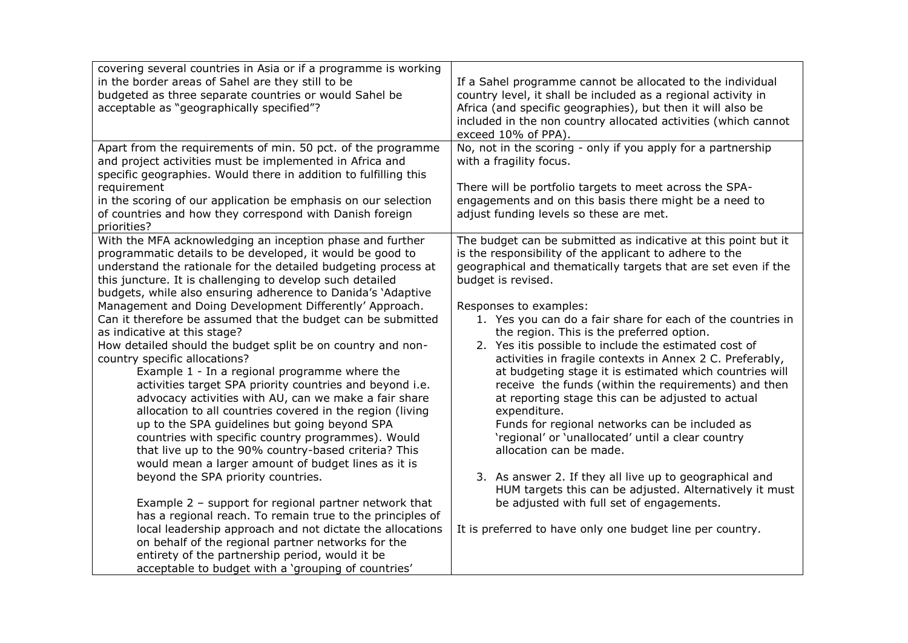| covering several countries in Asia or if a programme is working<br>in the border areas of Sahel are they still to be<br>budgeted as three separate countries or would Sahel be<br>acceptable as "geographically specified"?                                                                                                                                                                                                                                                                                                                                                                                                                                                                                                                                                                                                                                                                                                                                                                                                                                                                                                                                                                                                                                                                                                                                                                                                                       | If a Sahel programme cannot be allocated to the individual<br>country level, it shall be included as a regional activity in<br>Africa (and specific geographies), but then it will also be<br>included in the non country allocated activities (which cannot<br>exceed 10% of PPA).                                                                                                                                                                                                                                                                                                                                                                                                                                                                                                                                                                                                                                                                                                                                                    |
|---------------------------------------------------------------------------------------------------------------------------------------------------------------------------------------------------------------------------------------------------------------------------------------------------------------------------------------------------------------------------------------------------------------------------------------------------------------------------------------------------------------------------------------------------------------------------------------------------------------------------------------------------------------------------------------------------------------------------------------------------------------------------------------------------------------------------------------------------------------------------------------------------------------------------------------------------------------------------------------------------------------------------------------------------------------------------------------------------------------------------------------------------------------------------------------------------------------------------------------------------------------------------------------------------------------------------------------------------------------------------------------------------------------------------------------------------|----------------------------------------------------------------------------------------------------------------------------------------------------------------------------------------------------------------------------------------------------------------------------------------------------------------------------------------------------------------------------------------------------------------------------------------------------------------------------------------------------------------------------------------------------------------------------------------------------------------------------------------------------------------------------------------------------------------------------------------------------------------------------------------------------------------------------------------------------------------------------------------------------------------------------------------------------------------------------------------------------------------------------------------|
| Apart from the requirements of min. 50 pct. of the programme<br>and project activities must be implemented in Africa and<br>specific geographies. Would there in addition to fulfilling this<br>requirement<br>in the scoring of our application be emphasis on our selection<br>of countries and how they correspond with Danish foreign                                                                                                                                                                                                                                                                                                                                                                                                                                                                                                                                                                                                                                                                                                                                                                                                                                                                                                                                                                                                                                                                                                         | No, not in the scoring - only if you apply for a partnership<br>with a fragility focus.<br>There will be portfolio targets to meet across the SPA-<br>engagements and on this basis there might be a need to<br>adjust funding levels so these are met.                                                                                                                                                                                                                                                                                                                                                                                                                                                                                                                                                                                                                                                                                                                                                                                |
| priorities?<br>With the MFA acknowledging an inception phase and further<br>programmatic details to be developed, it would be good to<br>understand the rationale for the detailed budgeting process at<br>this juncture. It is challenging to develop such detailed<br>budgets, while also ensuring adherence to Danida's 'Adaptive<br>Management and Doing Development Differently' Approach.<br>Can it therefore be assumed that the budget can be submitted<br>as indicative at this stage?<br>How detailed should the budget split be on country and non-<br>country specific allocations?<br>Example 1 - In a regional programme where the<br>activities target SPA priority countries and beyond i.e.<br>advocacy activities with AU, can we make a fair share<br>allocation to all countries covered in the region (living<br>up to the SPA guidelines but going beyond SPA<br>countries with specific country programmes). Would<br>that live up to the 90% country-based criteria? This<br>would mean a larger amount of budget lines as it is<br>beyond the SPA priority countries.<br>Example 2 - support for regional partner network that<br>has a regional reach. To remain true to the principles of<br>local leadership approach and not dictate the allocations<br>on behalf of the regional partner networks for the<br>entirety of the partnership period, would it be<br>acceptable to budget with a 'grouping of countries' | The budget can be submitted as indicative at this point but it<br>is the responsibility of the applicant to adhere to the<br>geographical and thematically targets that are set even if the<br>budget is revised.<br>Responses to examples:<br>1. Yes you can do a fair share for each of the countries in<br>the region. This is the preferred option.<br>2. Yes itis possible to include the estimated cost of<br>activities in fragile contexts in Annex 2 C. Preferably,<br>at budgeting stage it is estimated which countries will<br>receive the funds (within the requirements) and then<br>at reporting stage this can be adjusted to actual<br>expenditure.<br>Funds for regional networks can be included as<br>'regional' or 'unallocated' until a clear country<br>allocation can be made.<br>3. As answer 2. If they all live up to geographical and<br>HUM targets this can be adjusted. Alternatively it must<br>be adjusted with full set of engagements.<br>It is preferred to have only one budget line per country. |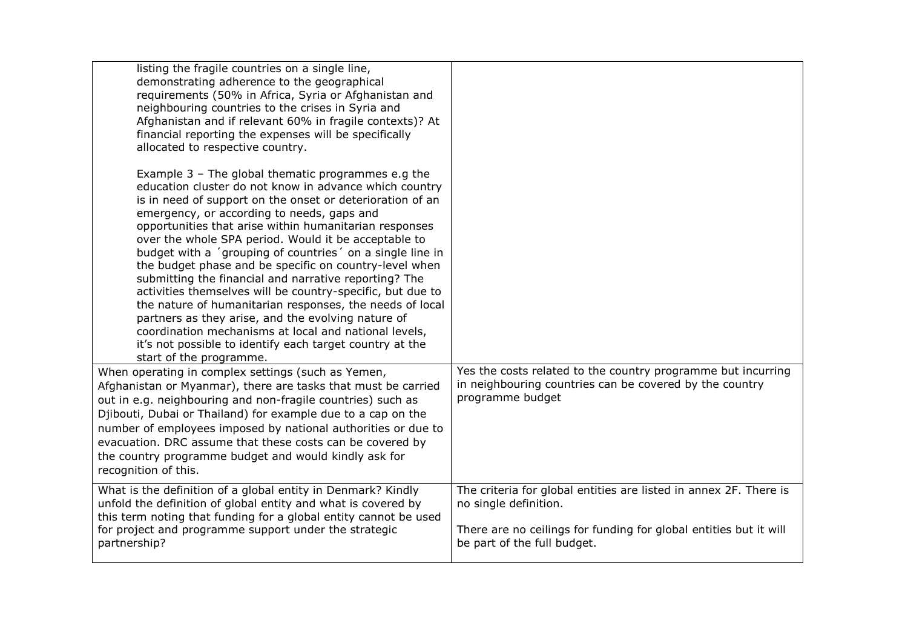| listing the fragile countries on a single line,<br>demonstrating adherence to the geographical<br>requirements (50% in Africa, Syria or Afghanistan and<br>neighbouring countries to the crises in Syria and<br>Afghanistan and if relevant 60% in fragile contexts)? At<br>financial reporting the expenses will be specifically<br>allocated to respective country.                                                                                                                                                                                                                                                                                                                                                                                                                                                                                     |                                                                                                                                                                                                |
|-----------------------------------------------------------------------------------------------------------------------------------------------------------------------------------------------------------------------------------------------------------------------------------------------------------------------------------------------------------------------------------------------------------------------------------------------------------------------------------------------------------------------------------------------------------------------------------------------------------------------------------------------------------------------------------------------------------------------------------------------------------------------------------------------------------------------------------------------------------|------------------------------------------------------------------------------------------------------------------------------------------------------------------------------------------------|
| Example 3 - The global thematic programmes e.g the<br>education cluster do not know in advance which country<br>is in need of support on the onset or deterioration of an<br>emergency, or according to needs, gaps and<br>opportunities that arise within humanitarian responses<br>over the whole SPA period. Would it be acceptable to<br>budget with a 'grouping of countries' on a single line in<br>the budget phase and be specific on country-level when<br>submitting the financial and narrative reporting? The<br>activities themselves will be country-specific, but due to<br>the nature of humanitarian responses, the needs of local<br>partners as they arise, and the evolving nature of<br>coordination mechanisms at local and national levels,<br>it's not possible to identify each target country at the<br>start of the programme. |                                                                                                                                                                                                |
| When operating in complex settings (such as Yemen,<br>Afghanistan or Myanmar), there are tasks that must be carried<br>out in e.g. neighbouring and non-fragile countries) such as<br>Djibouti, Dubai or Thailand) for example due to a cap on the<br>number of employees imposed by national authorities or due to<br>evacuation. DRC assume that these costs can be covered by<br>the country programme budget and would kindly ask for<br>recognition of this.                                                                                                                                                                                                                                                                                                                                                                                         | Yes the costs related to the country programme but incurring<br>in neighbouring countries can be covered by the country<br>programme budget                                                    |
| What is the definition of a global entity in Denmark? Kindly<br>unfold the definition of global entity and what is covered by<br>this term noting that funding for a global entity cannot be used<br>for project and programme support under the strategic<br>partnership?                                                                                                                                                                                                                                                                                                                                                                                                                                                                                                                                                                                | The criteria for global entities are listed in annex 2F. There is<br>no single definition.<br>There are no ceilings for funding for global entities but it will<br>be part of the full budget. |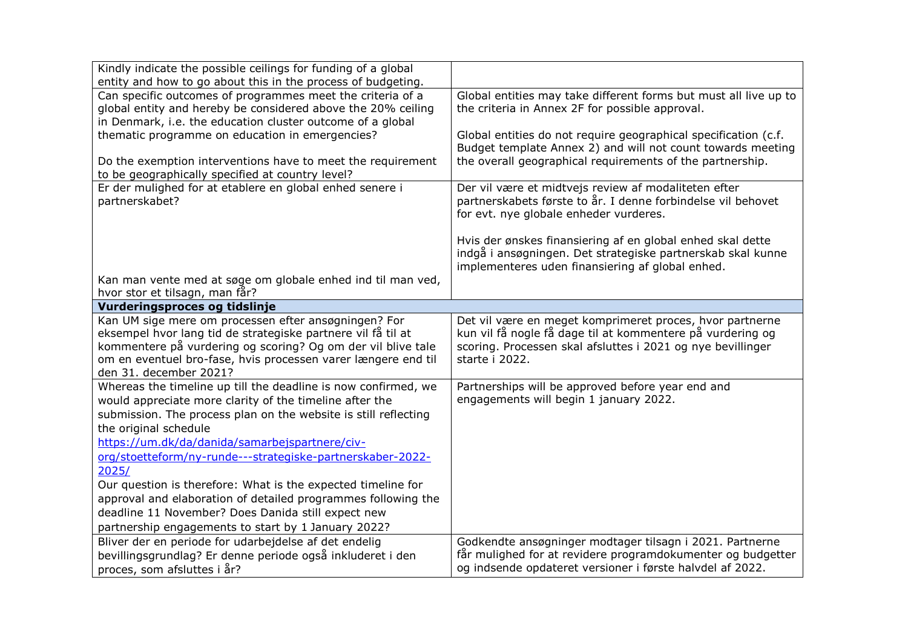| Kindly indicate the possible ceilings for funding of a global<br>entity and how to go about this in the process of budgeting.                                                                                                                                                                                                                                                                                                                                                                                                                                                                |                                                                                                                                                                                                         |
|----------------------------------------------------------------------------------------------------------------------------------------------------------------------------------------------------------------------------------------------------------------------------------------------------------------------------------------------------------------------------------------------------------------------------------------------------------------------------------------------------------------------------------------------------------------------------------------------|---------------------------------------------------------------------------------------------------------------------------------------------------------------------------------------------------------|
| Can specific outcomes of programmes meet the criteria of a<br>global entity and hereby be considered above the 20% ceiling<br>in Denmark, i.e. the education cluster outcome of a global                                                                                                                                                                                                                                                                                                                                                                                                     | Global entities may take different forms but must all live up to<br>the criteria in Annex 2F for possible approval.                                                                                     |
| thematic programme on education in emergencies?<br>Do the exemption interventions have to meet the requirement                                                                                                                                                                                                                                                                                                                                                                                                                                                                               | Global entities do not require geographical specification (c.f.<br>Budget template Annex 2) and will not count towards meeting<br>the overall geographical requirements of the partnership.             |
| to be geographically specified at country level?                                                                                                                                                                                                                                                                                                                                                                                                                                                                                                                                             |                                                                                                                                                                                                         |
| Er der mulighed for at etablere en global enhed senere i<br>partnerskabet?                                                                                                                                                                                                                                                                                                                                                                                                                                                                                                                   | Der vil være et midtvejs review af modaliteten efter<br>partnerskabets første to år. I denne forbindelse vil behovet<br>for evt. nye globale enheder vurderes.                                          |
|                                                                                                                                                                                                                                                                                                                                                                                                                                                                                                                                                                                              | Hvis der ønskes finansiering af en global enhed skal dette<br>indgå i ansøgningen. Det strategiske partnerskab skal kunne<br>implementeres uden finansiering af global enhed.                           |
| Kan man vente med at søge om globale enhed ind til man ved,<br>hvor stor et tilsagn, man får?                                                                                                                                                                                                                                                                                                                                                                                                                                                                                                |                                                                                                                                                                                                         |
| Vurderingsproces og tidslinje                                                                                                                                                                                                                                                                                                                                                                                                                                                                                                                                                                |                                                                                                                                                                                                         |
| Kan UM sige mere om processen efter ansøgningen? For<br>eksempel hvor lang tid de strategiske partnere vil få til at<br>kommentere på vurdering og scoring? Og om der vil blive tale<br>om en eventuel bro-fase, hvis processen varer længere end til<br>den 31. december 2021?                                                                                                                                                                                                                                                                                                              | Det vil være en meget komprimeret proces, hvor partnerne<br>kun vil få nogle få dage til at kommentere på vurdering og<br>scoring. Processen skal afsluttes i 2021 og nye bevillinger<br>starte i 2022. |
| Whereas the timeline up till the deadline is now confirmed, we<br>would appreciate more clarity of the timeline after the<br>submission. The process plan on the website is still reflecting<br>the original schedule<br>https://um.dk/da/danida/samarbejspartnere/civ-<br>org/stoetteform/ny-runde---strategiske-partnerskaber-2022-<br>2025/<br>Our question is therefore: What is the expected timeline for<br>approval and elaboration of detailed programmes following the<br>deadline 11 November? Does Danida still expect new<br>partnership engagements to start by 1 January 2022? | Partnerships will be approved before year end and<br>engagements will begin 1 january 2022.                                                                                                             |
| Bliver der en periode for udarbejdelse af det endelig                                                                                                                                                                                                                                                                                                                                                                                                                                                                                                                                        | Godkendte ansøgninger modtager tilsagn i 2021. Partnerne                                                                                                                                                |
| bevillingsgrundlag? Er denne periode også inkluderet i den<br>proces, som afsluttes i år?                                                                                                                                                                                                                                                                                                                                                                                                                                                                                                    | får mulighed for at revidere programdokumenter og budgetter<br>og indsende opdateret versioner i første halvdel af 2022.                                                                                |